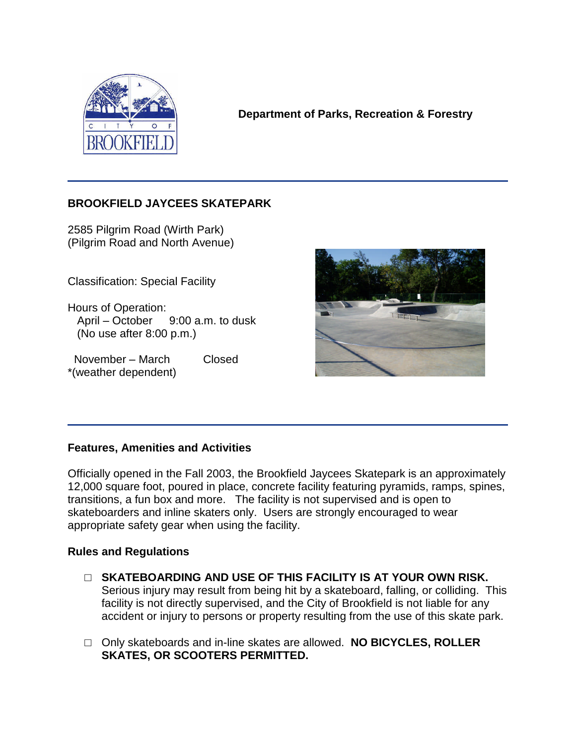

**Department of Parks, Recreation & Forestry**

## **BROOKFIELD JAYCEES SKATEPARK**

2585 Pilgrim Road (Wirth Park) (Pilgrim Road and North Avenue)

Classification: Special Facility

Hours of Operation: April –October 9:00 a.m. to dusk (No use after 8:00 p.m.)

November – March Closed \*(weather dependent)



## **Features, Amenities and Activities**

Officially opened in the Fall 2003, the Brookfield Jaycees Skatepark is an approximately 12,000 square foot, poured in place, concrete facility featuring pyramids, ramps, spines, transitions, a fun box and more. The facility is not supervised and is open to skateboarders and inline skaters only. Users are strongly encouraged to wear appropriate safety gear when using the facility.

## **Rules and Regulations**

- □ **SKATEBOARDING AND USE OF THIS FACILITY IS AT YOUR OWN RISK.** Serious injury may result from being hit by a skateboard, falling, or colliding. This facility is not directly supervised, and the City of Brookfield is not liable for any accident or injury to persons or property resulting from the use of this skate park.
- □ Only skateboards and in-line skates are allowed. **NO BICYCLES, ROLLER SKATES, OR SCOOTERS PERMITTED.**